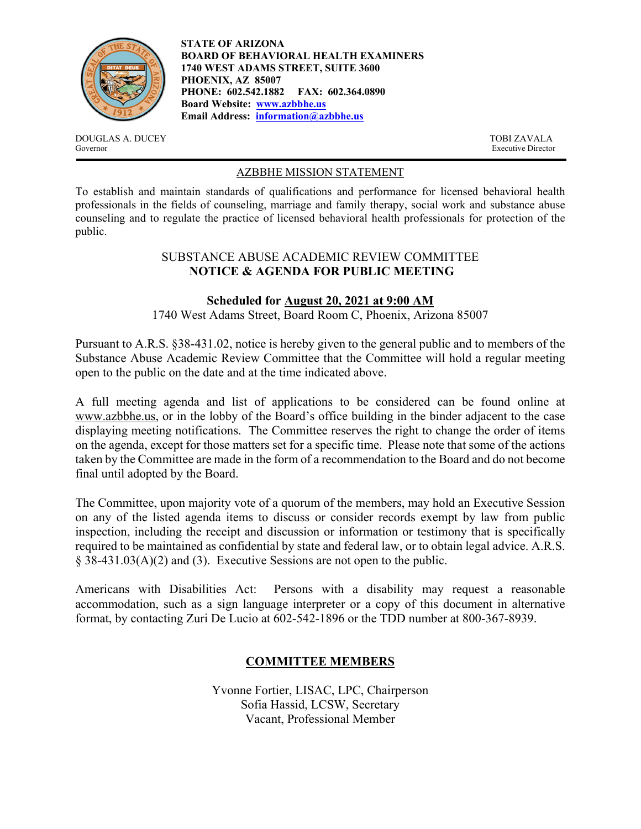

**STATE OF ARIZONA BOARD OF BEHAVIORAL HEALTH EXAMINERS 1740 WEST ADAMS STREET, SUITE 3600 PHOENIX, AZ 85007 PHONE: 602.542.1882 FAX: 602.364.0890 Board Website: www.azbbhe.us Email Address: information@azbbhe.us**

DOUGLAS A. DUCEY TOBI ZAVALA Governor Executive Director

## AZBBHE MISSION STATEMENT

To establish and maintain standards of qualifications and performance for licensed behavioral health professionals in the fields of counseling, marriage and family therapy, social work and substance abuse counseling and to regulate the practice of licensed behavioral health professionals for protection of the public.

### SUBSTANCE ABUSE ACADEMIC REVIEW COMMITTEE **NOTICE & AGENDA FOR PUBLIC MEETING**

### **Scheduled for August 20, 2021 at 9:00 AM**

1740 West Adams Street, Board Room C, Phoenix, Arizona 85007

Pursuant to A.R.S. §38-431.02, notice is hereby given to the general public and to members of the Substance Abuse Academic Review Committee that the Committee will hold a regular meeting open to the public on the date and at the time indicated above.

A full meeting agenda and list of applications to be considered can be found online at www.azbbhe.us, or in the lobby of the Board's office building in the binder adjacent to the case displaying meeting notifications. The Committee reserves the right to change the order of items on the agenda, except for those matters set for a specific time. Please note that some of the actions taken by the Committee are made in the form of a recommendation to the Board and do not become final until adopted by the Board.

The Committee, upon majority vote of a quorum of the members, may hold an Executive Session on any of the listed agenda items to discuss or consider records exempt by law from public inspection, including the receipt and discussion or information or testimony that is specifically required to be maintained as confidential by state and federal law, or to obtain legal advice. A.R.S. § 38-431.03(A)(2) and (3). Executive Sessions are not open to the public.

Americans with Disabilities Act: Persons with a disability may request a reasonable accommodation, such as a sign language interpreter or a copy of this document in alternative format, by contacting Zuri De Lucio at 602-542-1896 or the TDD number at 800-367-8939.

# **COMMITTEE MEMBERS**

Yvonne Fortier, LISAC, LPC, Chairperson Sofia Hassid, LCSW, Secretary Vacant, Professional Member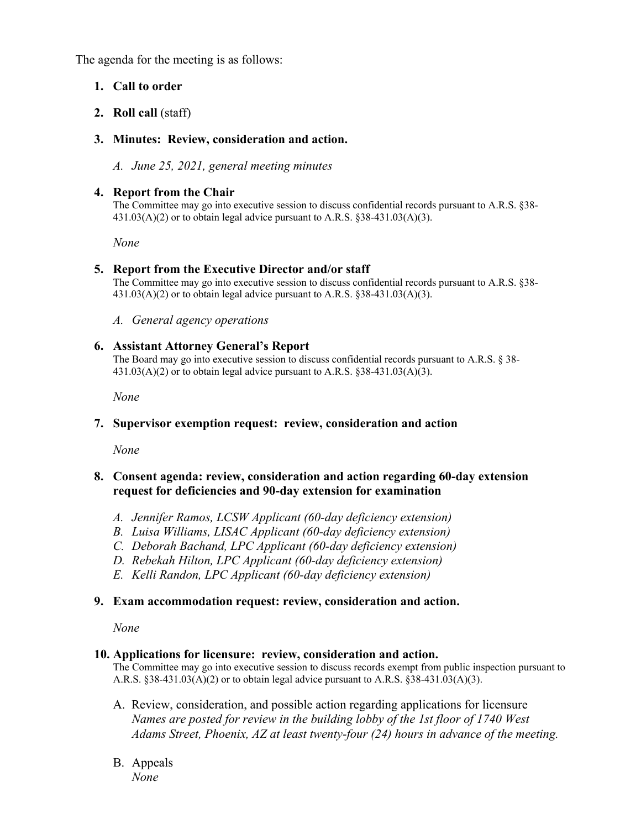The agenda for the meeting is as follows:

## **1. Call to order**

## **2. Roll call** (staff)

### **3. Minutes: Review, consideration and action.**

*A. June 25, 2021, general meeting minutes* 

#### **4. Report from the Chair**

The Committee may go into executive session to discuss confidential records pursuant to A.R.S. §38-  $431.03(A)(2)$  or to obtain legal advice pursuant to A.R.S. §38-431.03(A)(3).

 *None* 

### **5. Report from the Executive Director and/or staff**

The Committee may go into executive session to discuss confidential records pursuant to A.R.S. §38-  $431.03(A)(2)$  or to obtain legal advice pursuant to A.R.S. §38-431.03(A)(3).

*A. General agency operations* 

#### **6. Assistant Attorney General's Report**

The Board may go into executive session to discuss confidential records pursuant to A.R.S. § 38-  $431.03(A)(2)$  or to obtain legal advice pursuant to A.R.S. §38-431.03(A)(3).

 *None* 

### **7. Supervisor exemption request: review, consideration and action**

 *None* 

#### **8. Consent agenda: review, consideration and action regarding 60-day extension request for deficiencies and 90-day extension for examination**

- *A. Jennifer Ramos, LCSW Applicant (60-day deficiency extension)*
- *B. Luisa Williams, LISAC Applicant (60-day deficiency extension)*
- *C. Deborah Bachand, LPC Applicant (60-day deficiency extension)*
- *D. Rebekah Hilton, LPC Applicant (60-day deficiency extension)*
- *E. Kelli Randon, LPC Applicant (60-day deficiency extension)*

### **9. Exam accommodation request: review, consideration and action.**

*None* 

#### **10. Applications for licensure: review, consideration and action.**

The Committee may go into executive session to discuss records exempt from public inspection pursuant to A.R.S. §38-431.03(A)(2) or to obtain legal advice pursuant to A.R.S. §38-431.03(A)(3).

- A. Review, consideration, and possible action regarding applications for licensure  *Names are posted for review in the building lobby of the 1st floor of 1740 West Adams Street, Phoenix, AZ at least twenty-four (24) hours in advance of the meeting.*
- B. Appeals *None*